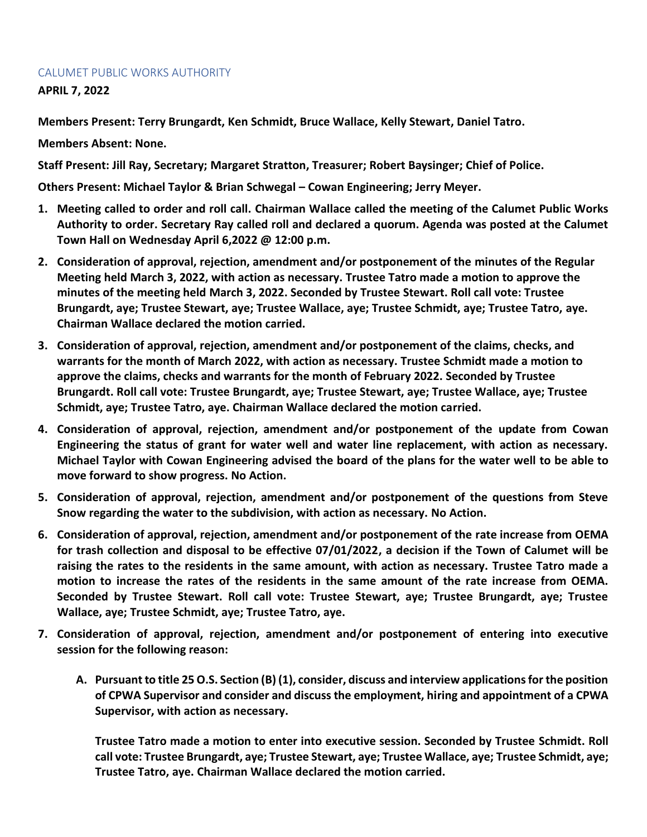## CALUMET PUBLIC WORKS AUTHORITY

**APRIL 7, 2022**

**Members Present: Terry Brungardt, Ken Schmidt, Bruce Wallace, Kelly Stewart, Daniel Tatro.**

**Members Absent: None.**

**Staff Present: Jill Ray, Secretary; Margaret Stratton, Treasurer; Robert Baysinger; Chief of Police.**

**Others Present: Michael Taylor & Brian Schwegal – Cowan Engineering; Jerry Meyer.**

- **1. Meeting called to order and roll call. Chairman Wallace called the meeting of the Calumet Public Works Authority to order. Secretary Ray called roll and declared a quorum. Agenda was posted at the Calumet Town Hall on Wednesday April 6,2022 @ 12:00 p.m.**
- **2. Consideration of approval, rejection, amendment and/or postponement of the minutes of the Regular Meeting held March 3, 2022, with action as necessary. Trustee Tatro made a motion to approve the minutes of the meeting held March 3, 2022. Seconded by Trustee Stewart. Roll call vote: Trustee Brungardt, aye; Trustee Stewart, aye; Trustee Wallace, aye; Trustee Schmidt, aye; Trustee Tatro, aye. Chairman Wallace declared the motion carried.**
- **3. Consideration of approval, rejection, amendment and/or postponement of the claims, checks, and warrants for the month of March 2022, with action as necessary. Trustee Schmidt made a motion to approve the claims, checks and warrants for the month of February 2022. Seconded by Trustee Brungardt. Roll call vote: Trustee Brungardt, aye; Trustee Stewart, aye; Trustee Wallace, aye; Trustee Schmidt, aye; Trustee Tatro, aye. Chairman Wallace declared the motion carried.**
- **4. Consideration of approval, rejection, amendment and/or postponement of the update from Cowan Engineering the status of grant for water well and water line replacement, with action as necessary. Michael Taylor with Cowan Engineering advised the board of the plans for the water well to be able to move forward to show progress. No Action.**
- **5. Consideration of approval, rejection, amendment and/or postponement of the questions from Steve Snow regarding the water to the subdivision, with action as necessary. No Action.**
- **6. Consideration of approval, rejection, amendment and/or postponement of the rate increase from OEMA for trash collection and disposal to be effective 07/01/2022, a decision if the Town of Calumet will be raising the rates to the residents in the same amount, with action as necessary. Trustee Tatro made a motion to increase the rates of the residents in the same amount of the rate increase from OEMA. Seconded by Trustee Stewart. Roll call vote: Trustee Stewart, aye; Trustee Brungardt, aye; Trustee Wallace, aye; Trustee Schmidt, aye; Trustee Tatro, aye.**
- **7. Consideration of approval, rejection, amendment and/or postponement of entering into executive session for the following reason:**
	- **A. Pursuant to title 25 O.S. Section (B) (1), consider, discuss and interview applications for the position of CPWA Supervisor and consider and discuss the employment, hiring and appointment of a CPWA Supervisor, with action as necessary.**

**Trustee Tatro made a motion to enter into executive session. Seconded by Trustee Schmidt. Roll call vote: Trustee Brungardt, aye; Trustee Stewart, aye; Trustee Wallace, aye; Trustee Schmidt, aye; Trustee Tatro, aye. Chairman Wallace declared the motion carried.**